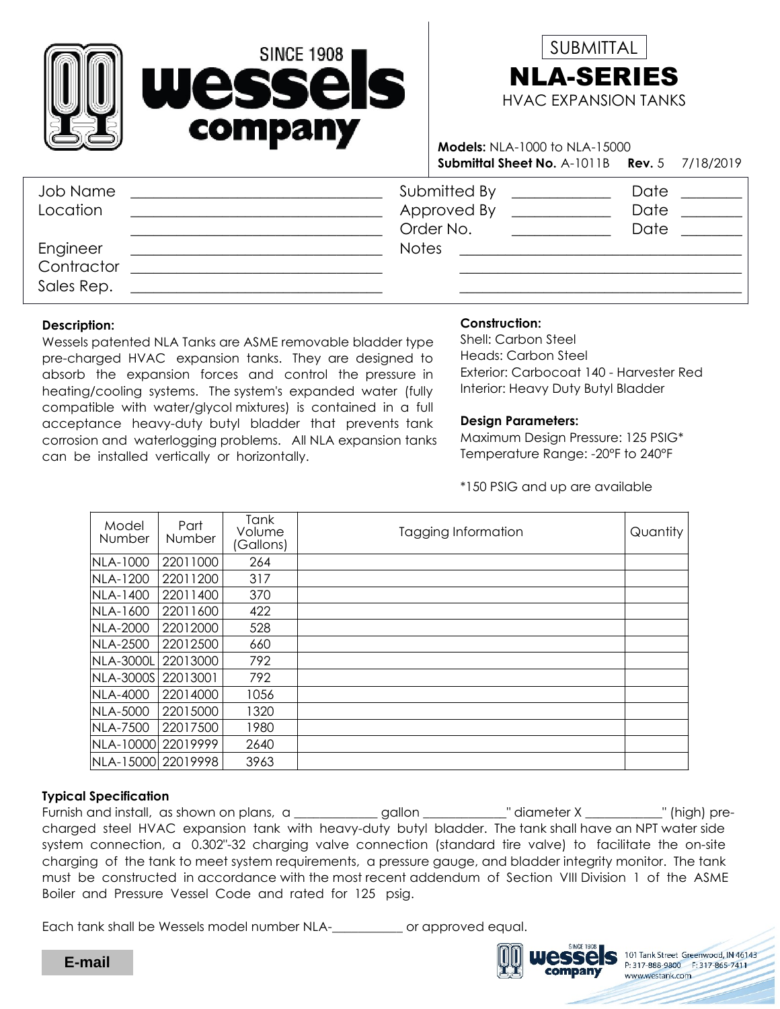



Submittal Sheet No. A-1011B Rev. 5 7/18/2019 Models: NLA-1000 to NLA-15000

| Job Name<br>Location                 | Submitted By<br>Approved By<br>Order No. | Date<br>Date<br>Date |
|--------------------------------------|------------------------------------------|----------------------|
| Engineer<br>Contractor<br>Sales Rep. | <b>Notes</b>                             |                      |

#### Description:

Wessels patented NLA Tanks are ASME removable bladder type pre-charged HVAC expansion tanks. They are designed to absorb the expansion forces and control the pressure in heating/cooling systems. The system's expanded water (fully compatible with water/glycol mixtures) is contained in a full acceptance heavy-duty butyl bladder that prevents tank corrosion and waterlogging problems. All NLA expansion tanks can be installed vertically or horizontally.

## Construction:

Exterior: Carbocoat 140 - Harvester Red Interior: Heavy Duty Butyl Bladder Shell: Carbon Steel Heads: Carbon Steel

#### Design Parameters:

Temperature Range: -20°F to 240°F Maximum Design Pressure: 125 PSIG\*

\*150 PSIG and up are available

| Model<br>Number      | Part<br>Number | Tank<br>Volume<br>(Gallons) | Tagging Information | Quantity |
|----------------------|----------------|-----------------------------|---------------------|----------|
| NLA-1000             | 22011000       | 264                         |                     |          |
| NLA-1200             | 22011200       | 317                         |                     |          |
| NLA-1400             | 22011400       | 370                         |                     |          |
| NLA-1600             | 22011600       | 422                         |                     |          |
| NLA-2000             | 22012000       | 528                         |                     |          |
| <b>NLA-2500</b>      | 22012500       | 660                         |                     |          |
| <b>NLA-3000L</b>     | 22013000       | 792                         |                     |          |
| NLA-3000S   22013001 |                | 792                         |                     |          |
| NLA-4000             | 22014000       | 1056                        |                     |          |
| NLA-5000             | 22015000       | 1320                        |                     |          |
| <b>NLA-7500</b>      | 22017500       | 1980                        |                     |          |
| NLA-10000 22019999   |                | 2640                        |                     |          |
| NLA-15000 22019998   |                | 3963                        |                     |          |

### Typical Specification

Furnish and install, as shown on plans, a \_\_\_\_\_\_\_\_\_\_\_\_gallon \_\_\_\_\_\_\_\_\_\_\_" diameter X \_\_\_\_\_\_\_\_\_\_\_" (high) precharged steel HVAC expansion tank with heavy-duty butyl bladder. The tank shall have an NPT water side system connection, a 0.302"-32 charging valve connection (standard tire valve) to facilitate the on-site charging of the tank to meet system requirements, a pressure gauge, and bladder integrity monitor. The tank must be constructed in accordance with the most recent addendum of Section VIII Division 1 of the ASME Boiler and Pressure Vessel Code and rated for 125 psig.

Each tank shall be Wessels model number NLA-\_\_\_\_\_\_\_\_\_\_\_ or approved equal.